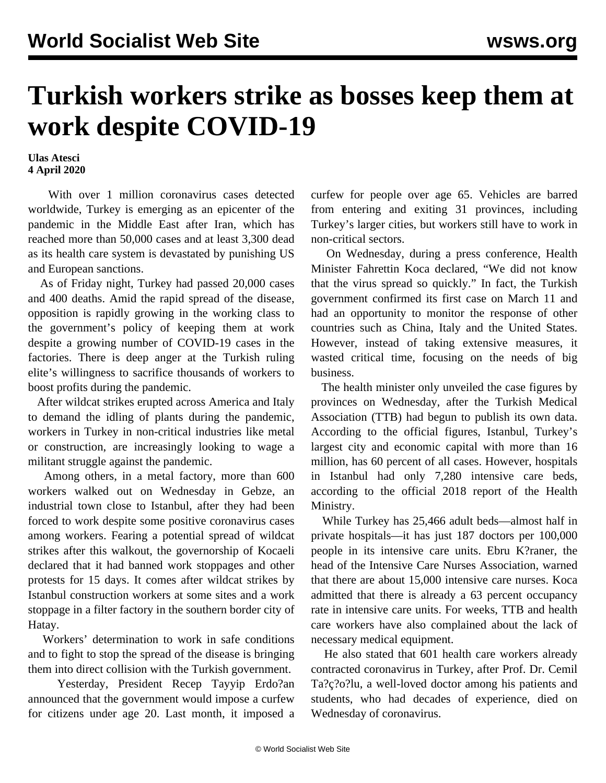## **Turkish workers strike as bosses keep them at work despite COVID-19**

**Ulas Atesci 4 April 2020**

 With over 1 million coronavirus cases detected worldwide, Turkey is emerging as an epicenter of the pandemic in the Middle East after Iran, which has reached more than 50,000 cases and at least 3,300 dead as its health care system is devastated by punishing US and European sanctions.

 As of Friday night, Turkey had passed 20,000 cases and 400 deaths. Amid the rapid spread of the disease, opposition is rapidly growing in the working class to the government's policy of keeping them at work despite a growing number of COVID-19 cases in the factories. There is deep anger at the Turkish ruling elite's willingness to sacrifice thousands of workers to boost profits during the pandemic.

 After wildcat strikes erupted across America and Italy to demand the idling of plants during the pandemic, workers in Turkey in non-critical industries like metal or construction, are increasingly looking to wage a militant struggle against the pandemic.

 Among others, in a metal factory, more than 600 workers walked out on Wednesday in Gebze, an industrial town close to Istanbul, after they had been forced to work despite some positive coronavirus cases among workers. Fearing a potential spread of wildcat strikes after this walkout, the governorship of Kocaeli declared that it had banned work stoppages and other protests for 15 days. It comes after wildcat strikes by Istanbul construction workers at some sites and a work stoppage in a filter factory in the southern border city of Hatay.

 Workers' determination to work in safe conditions and to fight to stop the spread of the disease is bringing them into direct collision with the Turkish government.

 Yesterday, President Recep Tayyip Erdo?an announced that the government would impose a curfew for citizens under age 20. Last month, it imposed a curfew for people over age 65. Vehicles are barred from entering and exiting 31 provinces, including Turkey's larger cities, but workers still have to work in non-critical sectors.

 On Wednesday, during a press conference, Health Minister Fahrettin Koca declared, "We did not know that the virus spread so quickly." In fact, the Turkish government confirmed its first case on March 11 and had an opportunity to monitor the response of other countries such as China, Italy and the United States. However, instead of taking extensive measures, it wasted critical time, focusing on the needs of big business.

 The health minister only unveiled the case figures by provinces on Wednesday, after the Turkish Medical Association (TTB) had begun to publish its own data. According to the official figures, Istanbul, Turkey's largest city and economic capital with more than 16 million, has 60 percent of all cases. However, hospitals in Istanbul had only 7,280 intensive care beds, according to the official 2018 report of the Health Ministry.

 While Turkey has 25,466 adult beds—almost half in private hospitals—it has just 187 doctors per 100,000 people in its intensive care units. Ebru K?raner, the head of the Intensive Care Nurses Association, warned that there are about 15,000 intensive care nurses. Koca admitted that there is already a 63 percent occupancy rate in intensive care units. For weeks, TTB and health care workers have also complained about the lack of necessary medical equipment.

 He also stated that 601 health care workers already contracted coronavirus in Turkey, after Prof. Dr. Cemil Ta?ç?o?lu, a well-loved doctor among his patients and students, who had decades of experience, died on Wednesday of coronavirus.